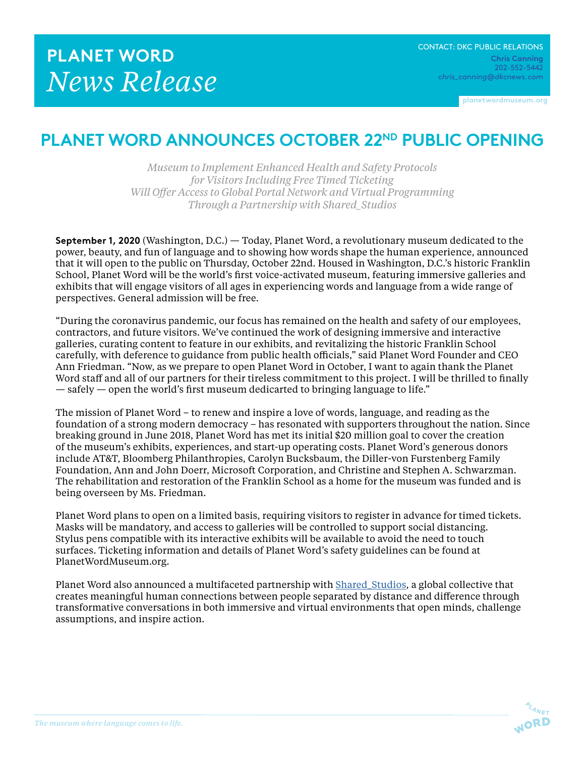**planetwordmuseum.org**

## **PLANET WORD ANNOUNCES OCTOBER 22ND PUBLIC OPENING**

*Museum to Implement Enhanced Health and Safety Protocols for Visitors Including Free Timed Ticketing Will Offer Access to Global Portal Network and Virtual Programming Through a Partnership with Shared\_Studios*

**September 1, 2020** (Washington, D.C.) — Today, Planet Word, a revolutionary museum dedicated to the power, beauty, and fun of language and to showing how words shape the human experience, announced that it will open to the public on Thursday, October 22nd. Housed in Washington, D.C.'s historic Franklin School, Planet Word will be the world's first voice-activated museum, featuring immersive galleries and exhibits that will engage visitors of all ages in experiencing words and language from a wide range of perspectives. General admission will be free.

"During the coronavirus pandemic, our focus has remained on the health and safety of our employees, contractors, and future visitors. We've continued the work of designing immersive and interactive galleries, curating content to feature in our exhibits, and revitalizing the historic Franklin School carefully, with deference to guidance from public health officials," said Planet Word Founder and CEO Ann Friedman. "Now, as we prepare to open Planet Word in October, I want to again thank the Planet Word staff and all of our partners for their tireless commitment to this project. I will be thrilled to finally — safely — open the world's first museum dedicarted to bringing language to life."

The mission of Planet Word – to renew and inspire a love of words, language, and reading as the foundation of a strong modern democracy – has resonated with supporters throughout the nation. Since breaking ground in June 2018, Planet Word has met its initial \$20 million goal to cover the creation of the museum's exhibits, experiences, and start-up operating costs. Planet Word's generous donors include AT&T, Bloomberg Philanthropies, Carolyn Bucksbaum, the Diller-von Furstenberg Family Foundation, Ann and John Doerr, Microsoft Corporation, and Christine and Stephen A. Schwarzman. The rehabilitation and restoration of the Franklin School as a home for the museum was funded and is being overseen by Ms. Friedman.

Planet Word plans to open on a limited basis, requiring visitors to register in advance for timed tickets. Masks will be mandatory, and access to galleries will be controlled to support social distancing. Stylus pens compatible with its interactive exhibits will be available to avoid the need to touch surfaces. Ticketing information and details of Planet Word's safety guidelines can be found at PlanetWordMuseum.org.

Planet Word also announced a multifaceted partnership with [Shared\\_Studios](https://www.sharedstudios.com/), a global collective that creates meaningful human connections between people separated by distance and difference through transformative conversations in both immersive and virtual environments that open minds, challenge assumptions, and inspire action.